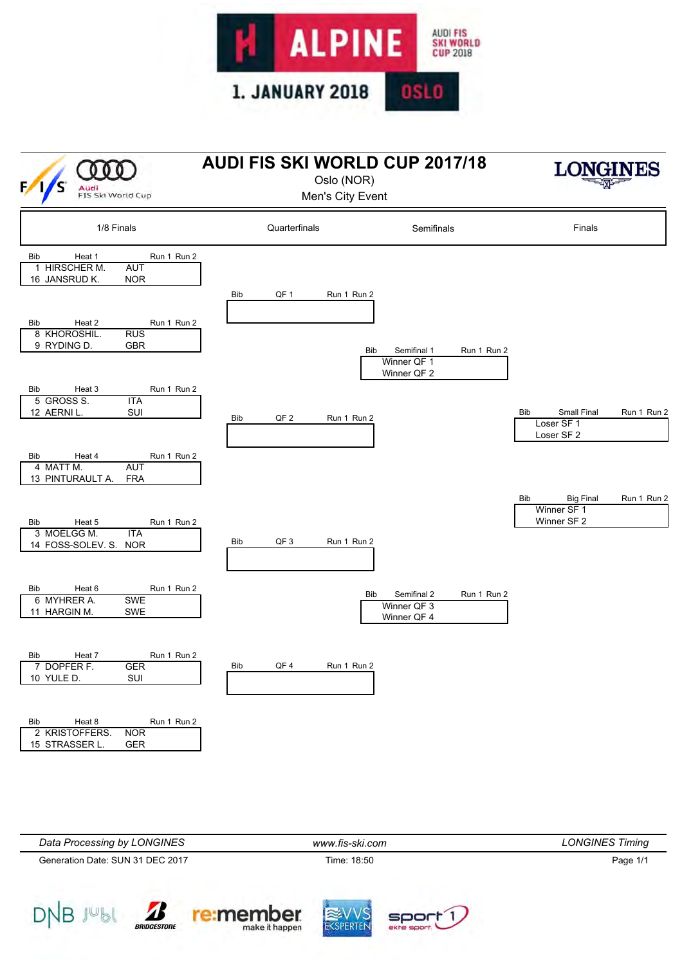



| Data Processing by LONGINES      | www.fis-ski.com | <b>LONGINES Timing</b> |
|----------------------------------|-----------------|------------------------|
| Generation Date: SUN 31 DEC 2017 | Time: 18:50     | Page 1/1               |
|                                  |                 |                        |

EKSPERTEN

soort

re:member

make it happen

 $DNBJ^{\cup}\mathbb{b}l \qquad \qquad \text{and} \qquad \text{and} \qquad \text{and} \qquad \text{and} \qquad \text{and} \qquad \text{and} \qquad \text{and} \qquad \text{and} \qquad \text{and} \qquad \text{and} \qquad \text{and} \qquad \text{and} \qquad \text{and} \qquad \text{and} \qquad \text{and} \qquad \text{and} \qquad \text{and} \qquad \text{and} \qquad \text{and} \qquad \text{and} \qquad \text{and} \qquad \text{and} \qquad \text{and} \qquad \text{and} \qquad \text{and} \qquad \$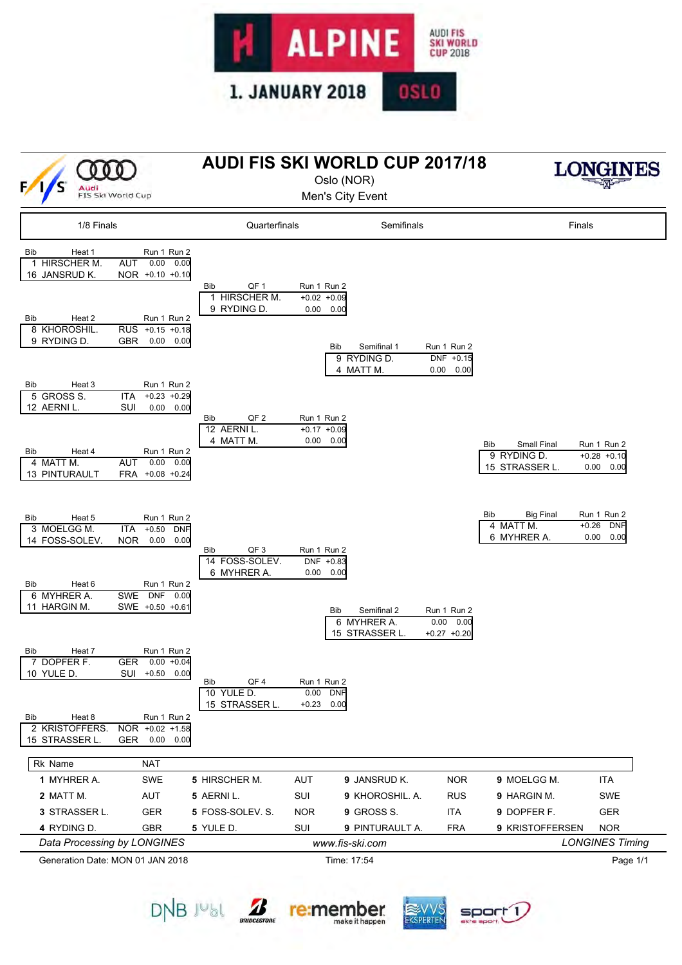

| (000<br>Audi<br>FIS Ski World Cup                                                                      |                                                                                                                                       | <b>AUDI FIS SKI WORLD CUP 2017/18</b>                        |                                                            | Oslo (NOR)<br>Men's City Event                                                      |                                                      |                                                              |                                                                         |  |  |
|--------------------------------------------------------------------------------------------------------|---------------------------------------------------------------------------------------------------------------------------------------|--------------------------------------------------------------|------------------------------------------------------------|-------------------------------------------------------------------------------------|------------------------------------------------------|--------------------------------------------------------------|-------------------------------------------------------------------------|--|--|
| 1/8 Finals                                                                                             |                                                                                                                                       | Quarterfinals                                                |                                                            | Semifinals                                                                          |                                                      |                                                              | Finals                                                                  |  |  |
| <b>Bib</b><br>Heat 1<br>1 HIRSCHER M.<br>16 JANSRUD K.<br>Bib<br>Heat 2<br>8 KHOROSHIL.<br>9 RYDING D. | Run 1 Run 2<br>0.00<br>0.00<br><b>AUT</b><br>NOR +0.10 +0.10<br>Run 1 Run 2<br>RUS +0.15 +0.18<br><b>GBR</b><br>0.00<br>0.00          | QF <sub>1</sub><br>Bib<br>1 HIRSCHER M.<br>9 RYDING D.       | Run 1 Run 2<br>$+0.02 +0.09$<br>0.00<br>0.00<br><b>Bib</b> | Semifinal 1<br>9 RYDING D.<br>4 MATT M.                                             | Run 1 Run 2<br>DNF +0.15<br>0.00<br>0.00             |                                                              |                                                                         |  |  |
| Heat 3<br>Bib<br>5 GROSS S.<br>12 AERNI L.<br>Bib<br>Heat 4<br>4 MATT M.<br>13 PINTURAULT              | Run 1 Run 2<br><b>ITA</b><br>$+0.23 +0.29$<br>SUI<br>0.00<br>0.00<br>Run 1 Run 2<br><b>AUT</b><br>0.00<br>0.00<br>FRA +0.08 +0.24     | QF <sub>2</sub><br>Bib<br>12 AERNI L.<br>4 MATT M.           | Run 1 Run 2<br>$+0.17 +0.09$<br>0.00<br>0.00               |                                                                                     |                                                      | <b>Small Final</b><br>Bib<br>9 RYDING D.<br>15 STRASSER L.   | Run 1 Run 2<br>$+0.28 +0.10$<br>0.00<br>0.00                            |  |  |
| Bib<br>Heat 5<br>3 MOELGG M.<br>14 FOSS-SOLEV.<br>Bib<br>Heat 6<br>6 MYHRER A.<br>11 HARGIN M.         | Run 1 Run 2<br><b>ITA</b><br>$+0.50$<br><b>DNF</b><br><b>NOR</b><br>0.00<br>0.00<br>Run 1 Run 2<br>SWE DNF<br>0.00<br>SWE +0.50 +0.61 | QF <sub>3</sub><br>Bib<br>14 FOSS-SOLEV.<br>6 MYHRER A.      | Run 1 Run 2<br>DNF +0.83<br>0.00<br>0.00<br><b>Bib</b>     | Semifinal 2<br>6 MYHRER A.                                                          | Run 1 Run 2                                          | Bib<br><b>Big Final</b><br>4 MATT M.<br>6 MYHRER A.          | Run 1 Run 2<br><b>DNF</b><br>$+0.26$<br>0.00<br>0.00                    |  |  |
| <b>Bib</b><br>Heat 7<br>7 DOPFER F.<br>10 YULE D.<br>Heat 8<br>Bib<br>2 KRISTOFFERS.<br>15 STRASSER L. | Run 1 Run 2<br>GER  0.00  +0.04<br>SUI +0.50 0.00<br>Run 1 Run 2<br>NOR +0.02 +1.58<br>GER<br>0.00<br>0.00                            | QF4<br>Bib<br>10 YULE D.<br>15 STRASSER L.                   | Run 1 Run 2<br>0.00<br><b>DNF</b><br>$+0.23$<br>0.00       | 15 STRASSER L.                                                                      | 0.00 0.00<br>$+0.27 +0.20$                           |                                                              |                                                                         |  |  |
| Rk Name<br>1 MYHRER A.<br>2 MATT M.<br>3 STRASSER L.<br>4 RYDING D.<br>Data Processing by LONGINES     | <b>NAT</b><br>SWE<br>AUT<br><b>GER</b><br>GBR                                                                                         | 5 HIRSCHER M.<br>5 AERNI L.<br>5 FOSS-SOLEV. S.<br>5 YULE D. | AUT<br>SUI<br><b>NOR</b><br>SUI                            | 9 JANSRUD K.<br>9 KHOROSHIL. A.<br>9 GROSS S.<br>9 PINTURAULT A.<br>www.fis-ski.com | <b>NOR</b><br><b>RUS</b><br><b>ITA</b><br><b>FRA</b> | 9 MOELGG M.<br>9 HARGIN M.<br>9 DOPFER F.<br>9 KRISTOFFERSEN | <b>ITA</b><br>SWE<br><b>GER</b><br><b>NOR</b><br><b>LONGINES Timing</b> |  |  |
| Generation Date: MON 01 JAN 2018                                                                       |                                                                                                                                       |                                                              |                                                            | Time: 17:54                                                                         |                                                      |                                                              | Page 1/1                                                                |  |  |



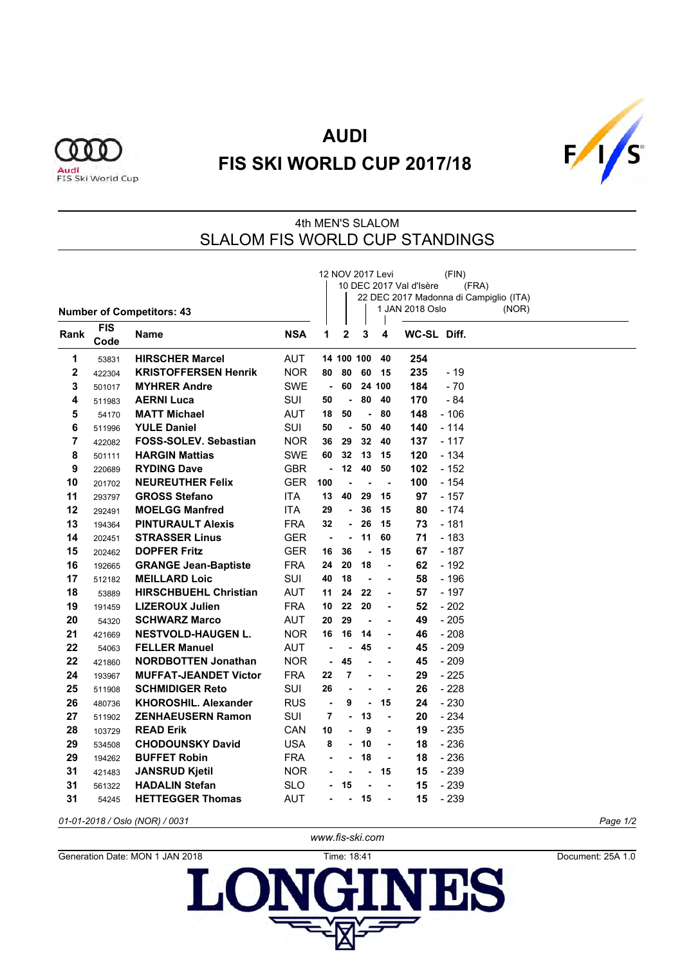



#### 4th MEN'S SLALOM SLALOM FIS WORLD CUP STANDINGS

|                         |                    | <b>Number of Competitors: 43</b> |            |                |                |                          | 12 NOV 2017 Levi | 10 DEC 2017 Val d'Isère<br>1 JAN 2018 Oslo | (FIN)  | (FRA)<br>22 DEC 2017 Madonna di Campiglio (ITA)<br>(NOR) |          |
|-------------------------|--------------------|----------------------------------|------------|----------------|----------------|--------------------------|------------------|--------------------------------------------|--------|----------------------------------------------------------|----------|
| Rank                    | <b>FIS</b><br>Code | Name                             | <b>NSA</b> | 1              | $\mathbf{2}$   | 3                        | 4                | WC-SL Diff.                                |        |                                                          |          |
| 1                       | 53831              | <b>HIRSCHER Marcel</b>           | <b>AUT</b> |                |                | 14 100 100               | 40               | 254                                        |        |                                                          |          |
| $\overline{\mathbf{2}}$ | 422304             | <b>KRISTOFFERSEN Henrik</b>      | <b>NOR</b> | 80             | 80             | 60                       | 15               | 235                                        | $-19$  |                                                          |          |
| 3                       | 501017             | <b>MYHRER Andre</b>              | <b>SWE</b> | $\blacksquare$ | 60             |                          | 24 100           | 184                                        | $-70$  |                                                          |          |
| 4                       | 511983             | <b>AERNI Luca</b>                | SUI        | 50             |                | 80                       | 40               | 170                                        | $-84$  |                                                          |          |
| 5                       | 54170              | <b>MATT Michael</b>              | <b>AUT</b> | 18             | 50             | $\blacksquare$           | 80               | 148                                        | $-106$ |                                                          |          |
| 6                       | 511996             | <b>YULE Daniel</b>               | <b>SUI</b> | 50             | $\blacksquare$ | 50                       | 40               | 140                                        | $-114$ |                                                          |          |
| 7                       | 422082             | <b>FOSS-SOLEV. Sebastian</b>     | <b>NOR</b> | 36             | 29             | 32                       | 40               | 137                                        | $-117$ |                                                          |          |
| 8                       | 501111             | <b>HARGIN Mattias</b>            | <b>SWE</b> | 60             | 32             | 13                       | 15               | 120                                        | $-134$ |                                                          |          |
| 9                       | 220689             | <b>RYDING Dave</b>               | <b>GBR</b> | $\blacksquare$ | 12             | 40                       | 50               | 102                                        | $-152$ |                                                          |          |
| 10                      | 201702             | <b>NEUREUTHER Felix</b>          | GER.       | 100            | ä,             | $\blacksquare$           | $\blacksquare$   | 100                                        | - 154  |                                                          |          |
| 11                      | 293797             | <b>GROSS Stefano</b>             | ITA        | 13             | 40             | 29                       | 15               | 97                                         | $-157$ |                                                          |          |
| 12                      | 292491             | <b>MOELGG Manfred</b>            | ITA.       | 29             | $\blacksquare$ | 36                       | 15               | 80                                         | - 174  |                                                          |          |
| 13                      | 194364             | <b>PINTURAULT Alexis</b>         | FRA        | 32             | $\blacksquare$ | 26                       | 15               | 73                                         | $-181$ |                                                          |          |
| 14                      | 202451             | <b>STRASSER Linus</b>            | <b>GER</b> | $\blacksquare$ | $\blacksquare$ | 11                       | 60               | 71                                         | $-183$ |                                                          |          |
| 15                      | 202462             | <b>DOPFER Fritz</b>              | GER        | 16             | 36             | $\blacksquare$           | 15               | 67                                         | $-187$ |                                                          |          |
| 16                      | 192665             | <b>GRANGE Jean-Baptiste</b>      | FRA        | 24             | 20             | 18                       | ä,               | 62                                         | - 192  |                                                          |          |
| 17                      | 512182             | <b>MEILLARD Loic</b>             | SUI        | 40             | 18             | $\blacksquare$           | $\blacksquare$   | 58                                         | - 196  |                                                          |          |
| 18                      | 53889              | <b>HIRSCHBUEHL Christian</b>     | AUT        | 11             | 24             | 22                       | $\blacksquare$   | 57                                         | $-197$ |                                                          |          |
| 19                      | 191459             | <b>LIZEROUX Julien</b>           | <b>FRA</b> | 10             | 22             | 20                       | $\blacksquare$   | 52                                         | $-202$ |                                                          |          |
| 20                      | 54320              | <b>SCHWARZ Marco</b>             | <b>AUT</b> | 20             | 29             | $\blacksquare$           | ٠                | 49                                         | $-205$ |                                                          |          |
| 21                      | 421669             | <b>NESTVOLD-HAUGEN L.</b>        | <b>NOR</b> | 16             | 16             | 14                       |                  | 46                                         | $-208$ |                                                          |          |
| 22                      | 54063              | <b>FELLER Manuel</b>             | <b>AUT</b> | ä,             |                | 45                       |                  | 45                                         | $-209$ |                                                          |          |
| 22                      | 421860             | <b>NORDBOTTEN Jonathan</b>       | <b>NOR</b> | $\blacksquare$ | 45             | $\overline{\phantom{a}}$ |                  | 45                                         | $-209$ |                                                          |          |
| 24                      | 193967             | <b>MUFFAT-JEANDET Victor</b>     | <b>FRA</b> | 22             | 7              | ä,                       | $\blacksquare$   | 29                                         | $-225$ |                                                          |          |
| 25                      | 511908             | <b>SCHMIDIGER Reto</b>           | SUI        | 26             | $\blacksquare$ |                          | $\blacksquare$   | 26                                         | $-228$ |                                                          |          |
| 26                      | 480736             | KHOROSHIL. Alexander             | <b>RUS</b> | $\blacksquare$ | 9              | $\blacksquare$           | 15               | 24                                         | $-230$ |                                                          |          |
| 27                      | 511902             | <b>ZENHAEUSERN Ramon</b>         | SUI        | 7              | $\blacksquare$ | 13                       | ä,               | 20                                         | - 234  |                                                          |          |
| 28                      | 103729             | <b>READ Erik</b>                 | CAN        | 10             |                | 9                        |                  | 19                                         | $-235$ |                                                          |          |
| 29                      | 534508             | <b>CHODOUNSKY David</b>          | USA        | 8              | ä,             | 10                       | $\blacksquare$   | 18                                         | $-236$ |                                                          |          |
| 29                      | 194262             | <b>BUFFET Robin</b>              | <b>FRA</b> | $\blacksquare$ | ٠              | 18                       | $\blacksquare$   | 18                                         | $-236$ |                                                          |          |
| 31                      | 421483             | <b>JANSRUD Kjetil</b>            | <b>NOR</b> |                |                | $\blacksquare$           | 15               | 15                                         | $-239$ |                                                          |          |
| 31                      | 561322             | <b>HADALIN Stefan</b>            | SLO        | $\blacksquare$ | 15             |                          | $\blacksquare$   | 15                                         | $-239$ |                                                          |          |
| 31                      | 54245              | <b>HETTEGGER Thomas</b>          | AUT        |                |                | 15                       |                  | 15                                         | - 239  |                                                          |          |
|                         |                    | 01-01-2018 / Oslo (NOR) / 0031   |            |                |                |                          |                  |                                            |        |                                                          | Page 1/2 |

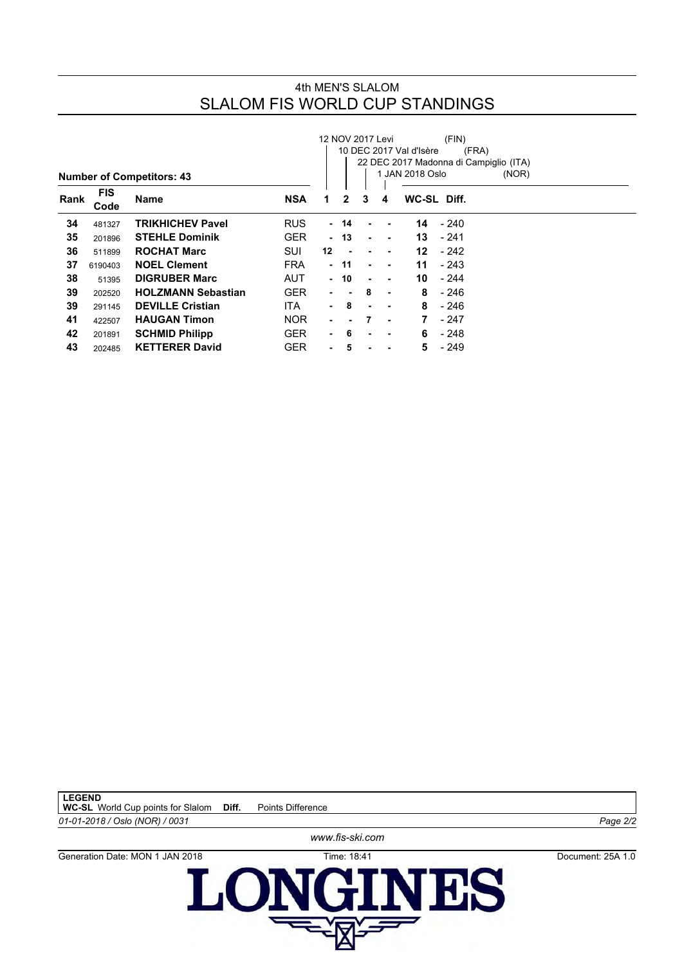#### 4th MEN'S SLALOM SLALOM FIS WORLD CUP STANDINGS

|      |                    |                                  |            | 12 NOV 2017 Levi<br>(FIN) |      |                |   |                         |             |                                                 |  |  |  |  |  |
|------|--------------------|----------------------------------|------------|---------------------------|------|----------------|---|-------------------------|-------------|-------------------------------------------------|--|--|--|--|--|
|      |                    |                                  |            |                           |      |                |   | 10 DEC 2017 Val d'Isère | (FRA)       |                                                 |  |  |  |  |  |
|      |                    | <b>Number of Competitors: 43</b> |            |                           |      |                |   | JAN 2018 Oslo           |             | 22 DEC 2017 Madonna di Campiglio (ITA)<br>(NOR) |  |  |  |  |  |
| Rank | <b>FIS</b><br>Code | <b>Name</b>                      | <b>NSA</b> | 1                         | 2    | 3              | 4 |                         | WC-SL Diff. |                                                 |  |  |  |  |  |
| 34   | 481327             | <b>TRIKHICHEV Pavel</b>          | <b>RUS</b> |                           | - 14 |                |   | 14                      | - 240       |                                                 |  |  |  |  |  |
| 35   | 201896             | <b>STEHLE Dominik</b>            | <b>GER</b> | $\blacksquare$            | 13   | ٠              | ٠ | 13                      | - 241       |                                                 |  |  |  |  |  |
| 36   | 511899             | <b>ROCHAT Marc</b>               | SUI        | $12 \,$                   |      |                |   | 12                      | - 242       |                                                 |  |  |  |  |  |
| 37   | 6190403            | <b>NOEL Clement</b>              | <b>FRA</b> | $\blacksquare$            | 11   | ٠              | ۰ | 11                      | - 243       |                                                 |  |  |  |  |  |
| 38   | 51395              | <b>DIGRUBER Marc</b>             | <b>AUT</b> | $\blacksquare$            | 10   | $\blacksquare$ |   | 10                      | $-244$      |                                                 |  |  |  |  |  |
| 39   | 202520             | <b>HOLZMANN Sebastian</b>        | <b>GER</b> | ٠                         |      | 8              | ٠ | 8                       | - 246       |                                                 |  |  |  |  |  |
| 39   | 291145             | <b>DEVILLE Cristian</b>          | <b>ITA</b> | $\blacksquare$            | 8    | $\blacksquare$ | ٠ | 8                       | - 246       |                                                 |  |  |  |  |  |
| 41   | 422507             | <b>HAUGAN Timon</b>              | <b>NOR</b> | ٠                         | ۰    | 7              | ٠ |                         | - 247       |                                                 |  |  |  |  |  |
| 42   | 201891             | <b>SCHMID Philipp</b>            | <b>GER</b> | ٠.                        | 6    |                |   | 6                       | - 248       |                                                 |  |  |  |  |  |
| 43   | 202485             | <b>KETTERER David</b>            | <b>GER</b> |                           | 5    |                |   | 5                       | - 249       |                                                 |  |  |  |  |  |



Generation Date: MON 1 JAN 2018<br> **LONGIN BS** GINES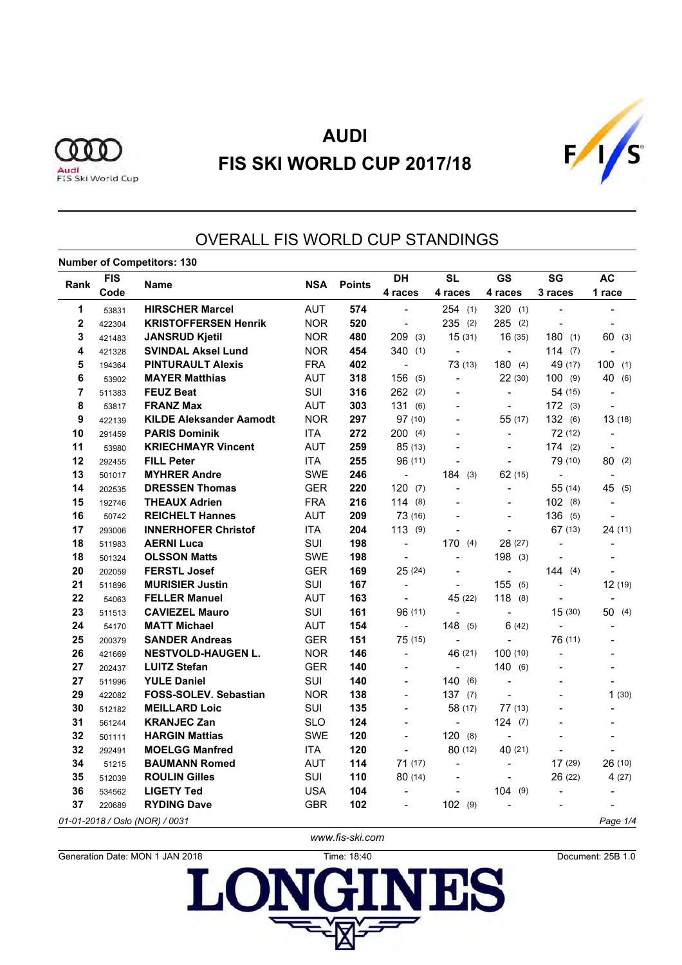



### OVERALL FIS WORLD CUP STANDINGS

#### **Number of Competitors: 130**

|             | <b>FIS</b> |                                |            |               | <b>DH</b>                | <b>SL</b>                    | <b>GS</b>                | SG                           | <b>AC</b>                |  |
|-------------|------------|--------------------------------|------------|---------------|--------------------------|------------------------------|--------------------------|------------------------------|--------------------------|--|
| Rank        | Code       | <b>Name</b>                    | <b>NSA</b> | <b>Points</b> | 4 races                  | 4 races                      | 4 races                  | 3 races                      | 1 race                   |  |
| 1           | 53831      | <b>HIRSCHER Marcel</b>         | <b>AUT</b> | 574           |                          | 254(1)                       | 320(1)                   |                              |                          |  |
| $\mathbf 2$ | 422304     | <b>KRISTOFFERSEN Henrik</b>    | <b>NOR</b> | 520           | $\blacksquare$           | 235<br>(2)                   | 285(2)                   | $\overline{a}$               |                          |  |
| 3           | 421483     | <b>JANSRUD Kjetil</b>          | <b>NOR</b> | 480           | 209<br>(3)               | 15(31)                       | 16(35)                   | 180(1)                       | 60<br>(3)                |  |
| 4           | 421328     | <b>SVINDAL Aksel Lund</b>      | <b>NOR</b> | 454           | 340(1)                   | $\overline{a}$               | $\overline{a}$           | 114(7)                       |                          |  |
| 5           | 194364     | <b>PINTURAULT Alexis</b>       | <b>FRA</b> | 402           | $\overline{a}$           | 73(13)                       | 180(4)                   | 49 (17)                      | 100<br>(1)               |  |
| 6           | 53902      | <b>MAYER Matthias</b>          | <b>AUT</b> | 318           | 156<br>(5)               | $\overline{\phantom{a}}$     | 22(30)                   | 100(9)                       | 40 (6)                   |  |
| 7           | 511383     | <b>FEUZ Beat</b>               | SUI        | 316           | 262<br>(2)               | $\overline{a}$               | $\overline{\phantom{a}}$ | 54 (15)                      | $\overline{\phantom{a}}$ |  |
| 8           | 53817      | <b>FRANZ Max</b>               | <b>AUT</b> | 303           | 131<br>(6)               | $\overline{\phantom{a}}$     | $\frac{1}{2}$            | 172(3)                       | $\overline{\phantom{a}}$ |  |
| 9           | 422139     | <b>KILDE Aleksander Aamodt</b> | <b>NOR</b> | 297           | 97 (10)                  | $\blacksquare$               | 55 (17)                  | 132 (6)                      | 13(18)                   |  |
| 10          | 291459     | <b>PARIS Dominik</b>           | <b>ITA</b> | 272           | 200(4)                   |                              | $\overline{\phantom{a}}$ | 72 (12)                      | $\overline{\phantom{a}}$ |  |
| 11          | 53980      | <b>KRIECHMAYR Vincent</b>      | <b>AUT</b> | 259           | 85 (13)                  |                              |                          | 174(2)                       |                          |  |
| 12          | 292455     | <b>FILL Peter</b>              | <b>ITA</b> | 255           | 96 (11)                  | $\overline{a}$               |                          | 79 (10)                      | 80(2)                    |  |
| 13          | 501017     | <b>MYHRER Andre</b>            | <b>SWE</b> | 246           | $\blacksquare$           | 184<br>(3)                   | 62(15)                   | $\overline{\phantom{0}}$     |                          |  |
| 14          | 202535     | <b>DRESSEN Thomas</b>          | <b>GER</b> | 220           | 120(7)                   | $\overline{a}$               |                          | 55(14)                       | 45 (5)                   |  |
| 15          | 192746     | <b>THEAUX Adrien</b>           | <b>FRA</b> | 216           | 114(8)                   | $\overline{a}$               | $\overline{a}$           | 102(8)                       |                          |  |
| 16          | 50742      | <b>REICHELT Hannes</b>         | <b>AUT</b> | 209           | 73 (16)                  | $\overline{a}$               | $\overline{a}$           | 136(5)                       |                          |  |
| 17          | 293006     | <b>INNERHOFER Christof</b>     | <b>ITA</b> | 204           | 113(9)                   |                              |                          | 67(13)                       | 24(11)                   |  |
| 18          | 511983     | <b>AERNI Luca</b>              | SUI        | 198           | $\overline{\phantom{0}}$ | 170<br>(4)                   | 28 (27)                  | $\overline{a}$               |                          |  |
| 18          | 501324     | <b>OLSSON Matts</b>            | <b>SWE</b> | 198           | $\overline{a}$           | $\qquad \qquad \blacksquare$ | 198(3)                   |                              |                          |  |
| 20          | 202059     | <b>FERSTL Josef</b>            | <b>GER</b> | 169           | 25(24)                   |                              | $\overline{\phantom{0}}$ | 144(4)                       |                          |  |
| 21          | 511896     | <b>MURISIER Justin</b>         | SUI        | 167           | $\overline{\phantom{a}}$ | $\overline{\phantom{a}}$     | 155<br>(5)               | $\qquad \qquad \blacksquare$ | 12 (19)                  |  |
| 22          | 54063      | <b>FELLER Manuel</b>           | <b>AUT</b> | 163           | $\overline{\phantom{0}}$ | 45 (22)                      | 118(8)                   | $\overline{a}$               |                          |  |
| 23          | 511513     | <b>CAVIEZEL Mauro</b>          | SUI        | 161           | 96 (11)                  | $\overline{a}$               | $\overline{\phantom{a}}$ | 15(30)                       | 50(4)                    |  |
| 24          | 54170      | <b>MATT Michael</b>            | <b>AUT</b> | 154           | $\blacksquare$           | 148<br>(5)                   | 6(42)                    | $\overline{a}$               | $\overline{\phantom{a}}$ |  |
| 25          | 200379     | <b>SANDER Andreas</b>          | <b>GER</b> | 151           | 75(15)                   | $\overline{\phantom{a}}$     | $\blacksquare$           | 76 (11)                      |                          |  |
| 26          | 421669     | <b>NESTVOLD-HAUGEN L.</b>      | <b>NOR</b> | 146           | $\overline{a}$           | 46 (21)                      | 100 (10)                 | $\overline{a}$               |                          |  |
| 27          | 202437     | <b>LUITZ Stefan</b>            | <b>GER</b> | 140           | $\overline{\phantom{0}}$ | $\blacksquare$               | 140(6)                   | $\overline{a}$               |                          |  |
| 27          | 511996     | <b>YULE Daniel</b>             | SUI        | 140           | $\overline{a}$           | 140(6)                       | $\overline{a}$           | $\overline{a}$               |                          |  |
| 29          | 422082     | FOSS-SOLEV. Sebastian          | <b>NOR</b> | 138           | $\overline{\phantom{0}}$ | 137(7)                       |                          |                              | 1(30)                    |  |
| 30          | 512182     | <b>MEILLARD Loic</b>           | SUI        | 135           | $\overline{\phantom{0}}$ | 58 (17)                      | 77(13)                   |                              |                          |  |
| 31          | 561244     | <b>KRANJEC Zan</b>             | <b>SLO</b> | 124           | $\overline{\phantom{0}}$ | $\blacksquare$               | 124(7)                   |                              |                          |  |
| 32          | 501111     | <b>HARGIN Mattias</b>          | <b>SWE</b> | 120           | $\overline{a}$           | 120<br>(8)                   | $\overline{a}$           |                              |                          |  |
| 32          | 292491     | <b>MOELGG Manfred</b>          | <b>ITA</b> | 120           | $\overline{a}$           | 80(12)                       | 40 (21)                  |                              |                          |  |
| 34          | 51215      | <b>BAUMANN Romed</b>           | <b>AUT</b> | 114           | 71(17)                   | $\blacksquare$               | $\overline{\phantom{a}}$ | 17(29)                       | 26 (10)                  |  |
| 35          | 512039     | <b>ROULIN Gilles</b>           | SUI        | 110           | 80 (14)                  | $\overline{\phantom{a}}$     |                          | 26 (22)                      | 4 (27)                   |  |
| 36          | 534562     | <b>LIGETY Ted</b>              | <b>USA</b> | 104           | $\overline{\phantom{0}}$ |                              | 104(9)                   |                              |                          |  |
| 37          | 220689     | <b>RYDING Dave</b>             | <b>GBR</b> | 102           |                          | 102<br>(9)                   |                          |                              |                          |  |
|             |            | 01-01-2018 / Oslo (NOR) / 0031 |            |               |                          |                              |                          |                              | Page 1/4                 |  |

Generation Date: MON 1 JAN 2018 Time: 18:40 Document: 25B 1.0

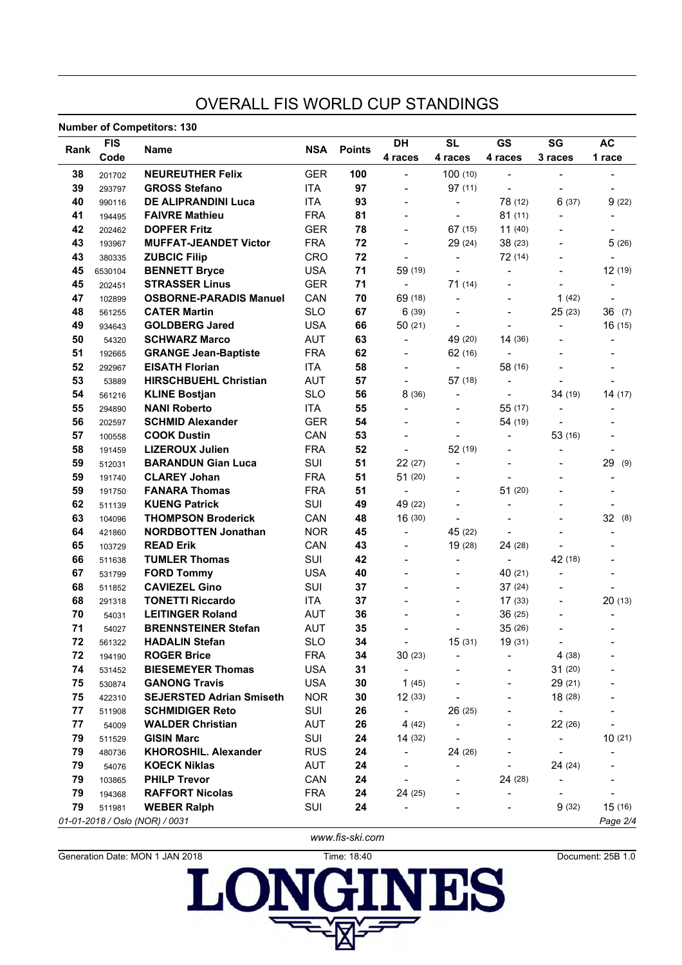### OVERALL FIS WORLD CUP STANDINGS

**Number of Competitors: 130**

|      | <b>FIS</b> | שטו וסשוווטט וט שעוווועט ווער   |            |               | DH                       | <b>SL</b>                    | GS                       | SG                           | <b>AC</b>                    |
|------|------------|---------------------------------|------------|---------------|--------------------------|------------------------------|--------------------------|------------------------------|------------------------------|
| Rank | Code       | Name                            | <b>NSA</b> | <b>Points</b> | 4 races                  | 4 races                      | 4 races                  | 3 races                      | 1 race                       |
| 38   | 201702     | <b>NEUREUTHER Felix</b>         | <b>GER</b> | 100           | $\overline{\phantom{a}}$ | 100(10)                      | $\overline{\phantom{0}}$ | $\overline{\phantom{0}}$     | $\overline{\phantom{a}}$     |
| 39   | 293797     | <b>GROSS Stefano</b>            | <b>ITA</b> | 97            | $\overline{\phantom{a}}$ | 97(11)                       |                          | $\overline{\phantom{0}}$     |                              |
| 40   | 990116     | <b>DE ALIPRANDINI Luca</b>      | <b>ITA</b> | 93            | $\blacksquare$           | $\overline{\phantom{a}}$     | 78 (12)                  | 6(37)                        | 9(22)                        |
| 41   | 194495     | <b>FAIVRE Mathieu</b>           | <b>FRA</b> | 81            |                          | $\overline{\phantom{a}}$     | 81(11)                   | $\overline{\phantom{0}}$     | $\qquad \qquad \blacksquare$ |
| 42   | 202462     | <b>DOPFER Fritz</b>             | <b>GER</b> | 78            |                          | 67(15)                       | 11(40)                   | $\overline{\phantom{0}}$     | $\overline{a}$               |
| 43   | 193967     | <b>MUFFAT-JEANDET Victor</b>    | <b>FRA</b> | 72            | $\overline{\phantom{a}}$ | 29(24)                       | 38 (23)                  |                              | 5(26)                        |
| 43   | 380335     | <b>ZUBCIC Filip</b>             | CRO        | 72            | $\overline{\phantom{a}}$ | $\blacksquare$               | 72 (14)                  |                              |                              |
| 45   | 6530104    | <b>BENNETT Bryce</b>            | <b>USA</b> | 71            | 59 (19)                  | $\overline{\phantom{a}}$     |                          | -                            | 12 (19)                      |
| 45   | 202451     | <b>STRASSER Linus</b>           | <b>GER</b> | 71            | $\blacksquare$           | 71(14)                       |                          | $\overline{\phantom{0}}$     | $\overline{\phantom{a}}$     |
| 47   | 102899     | <b>OSBORNE-PARADIS Manuel</b>   | CAN        | 70            | 69 (18)                  | $\qquad \qquad \blacksquare$ |                          | 1(42)                        | $\overline{\phantom{a}}$     |
| 48   | 561255     | <b>CATER Martin</b>             | <b>SLO</b> | 67            | 6(39)                    | $\overline{\phantom{a}}$     |                          | 25 (23)                      | 36(7)                        |
| 49   | 934643     | <b>GOLDBERG Jared</b>           | <b>USA</b> | 66            | 50(21)                   | $\overline{\phantom{a}}$     |                          | $\overline{\phantom{0}}$     | 16(15)                       |
| 50   | 54320      | <b>SCHWARZ Marco</b>            | <b>AUT</b> | 63            | $\overline{\phantom{a}}$ | 49 (20)                      | 14(36)                   |                              | $\qquad \qquad \blacksquare$ |
| 51   | 192665     | <b>GRANGE Jean-Baptiste</b>     | <b>FRA</b> | 62            | $\blacksquare$           | 62(16)                       |                          |                              |                              |
| 52   | 292967     | <b>EISATH Florian</b>           | <b>ITA</b> | 58            | $\blacksquare$           | $\blacksquare$               | 58 (16)                  |                              |                              |
| 53   | 53889      | <b>HIRSCHBUEHL Christian</b>    | <b>AUT</b> | 57            | $\overline{\phantom{a}}$ | 57(18)                       |                          |                              |                              |
| 54   | 561216     | <b>KLINE Bostjan</b>            | <b>SLO</b> | 56            | 8 (36)                   |                              |                          | 34 (19)                      | 14(17)                       |
| 55   | 294890     | <b>NANI Roberto</b>             | <b>ITA</b> | 55            | $\overline{a}$           |                              | 55 (17)                  | $\overline{\phantom{0}}$     | $\qquad \qquad \blacksquare$ |
| 56   | 202597     | <b>SCHMID Alexander</b>         | <b>GER</b> | 54            |                          |                              | 54 (19)                  |                              |                              |
| 57   | 100558     | <b>COOK Dustin</b>              | CAN        | 53            |                          |                              |                          | 53 (16)                      |                              |
| 58   | 191459     | <b>LIZEROUX Julien</b>          | <b>FRA</b> | 52            | $\blacksquare$           | 52 (19)                      |                          | $\overline{a}$               | $\blacksquare$               |
| 59   | 512031     | <b>BARANDUN Gian Luca</b>       | SUI        | 51            | 22 (27)                  | $\overline{\phantom{a}}$     |                          |                              | 29<br>(9)                    |
| 59   | 191740     | <b>CLAREY Johan</b>             | <b>FRA</b> | 51            | 51 (20)                  |                              |                          |                              | $\overline{\phantom{a}}$     |
| 59   | 191750     | <b>FANARA Thomas</b>            | <b>FRA</b> | 51            | $\blacksquare$           |                              | 51(20)                   |                              |                              |
| 62   | 511139     | <b>KUENG Patrick</b>            | SUI        | 49            | 49 (22)                  |                              |                          |                              |                              |
| 63   | 104096     | <b>THOMPSON Broderick</b>       | CAN        | 48            | 16 (30)                  | $\overline{\phantom{a}}$     |                          |                              | 32 (8)                       |
| 64   | 421860     | <b>NORDBOTTEN Jonathan</b>      | <b>NOR</b> | 45            | $\overline{\phantom{a}}$ | 45 (22)                      |                          |                              | $\overline{\phantom{a}}$     |
| 65   | 103729     | <b>READ Erik</b>                | CAN        | 43            |                          | 19 (28)                      | 24 (28)                  |                              |                              |
| 66   | 511638     | <b>TUMLER Thomas</b>            | SUI        | 42            |                          | $\overline{\phantom{a}}$     |                          | 42 (18)                      |                              |
| 67   | 531799     | <b>FORD Tommy</b>               | <b>USA</b> | 40            |                          |                              | 40 (21)                  | $\overline{\phantom{0}}$     | $\overline{\phantom{a}}$     |
| 68   | 511852     | <b>CAVIEZEL Gino</b>            | SUI        | 37            |                          | $\overline{a}$               | 37(24)                   |                              |                              |
| 68   | 291318     | <b>TONETTI Riccardo</b>         | <b>ITA</b> | 37            |                          |                              | 17(33)                   |                              | 20(13)                       |
| 70   | 54031      | <b>LEITINGER Roland</b>         | <b>AUT</b> | 36            |                          |                              | 36(25)                   |                              | $\blacksquare$               |
| 71   | 54027      | <b>BRENNSTEINER Stefan</b>      | <b>AUT</b> | 35            |                          |                              | 35(26)                   | $\overline{\phantom{0}}$     | $\overline{\phantom{a}}$     |
| 72   | 561322     | <b>HADALIN Stefan</b>           | <b>SLO</b> | 34            |                          | 15(31)                       | 19 (31)                  |                              |                              |
| 72   | 194190     | <b>ROGER Brice</b>              | <b>FRA</b> | 34            | 30(23)                   |                              |                          | 4(38)                        |                              |
| 74   | 531452     | <b>BIESEMEYER Thomas</b>        | <b>USA</b> | 31            |                          |                              |                          | 31(20)                       |                              |
| 75   | 530874     | <b>GANONG Travis</b>            | <b>USA</b> | 30            | 1(45)                    |                              |                          | 29(21)                       |                              |
| 75   | 422310     | <b>SEJERSTED Adrian Smiseth</b> | <b>NOR</b> | 30            | 12(33)                   |                              |                          | 18(28)                       |                              |
| 77   | 511908     | <b>SCHMIDIGER Reto</b>          | SUI        | 26            | $\overline{\phantom{a}}$ | 26 (25)                      |                          | $\blacksquare$               |                              |
| 77   | 54009      | <b>WALDER Christian</b>         | AUT        | 26            | 4(42)                    | $\overline{\phantom{a}}$     |                          | 22 (26)                      |                              |
| 79   | 511529     | <b>GISIN Marc</b>               | SUI        | 24            | 14(32)                   |                              |                          | $\qquad \qquad \blacksquare$ | 10(21)                       |
| 79   | 480736     | <b>KHOROSHIL. Alexander</b>     | <b>RUS</b> | 24            | $\overline{\phantom{0}}$ | 24 (26)                      |                          | $\overline{\phantom{a}}$     |                              |
| 79   | 54076      | <b>KOECK Niklas</b>             | AUT        | 24            |                          | $\qquad \qquad \blacksquare$ |                          | 24(24)                       |                              |
| 79   | 103865     | <b>PHILP Trevor</b>             | CAN        | 24            |                          |                              | 24 (28)                  |                              |                              |
| 79   | 194368     | <b>RAFFORT Nicolas</b>          | <b>FRA</b> | 24            | 24(25)                   |                              | $\overline{\phantom{0}}$ |                              |                              |
| 79   | 511981     | <b>WEBER Ralph</b>              | SUI        | 24            |                          |                              |                          | 9(32)                        | 15(16)                       |
|      |            | 01-01-2018 / Oslo (NOR) / 0031  |            |               |                          |                              |                          |                              | Page 2/4                     |

*www.fis-ski.com*

Generation Date: MON 1 JAN 2018  $\sum_{\text{General} \text{D}}$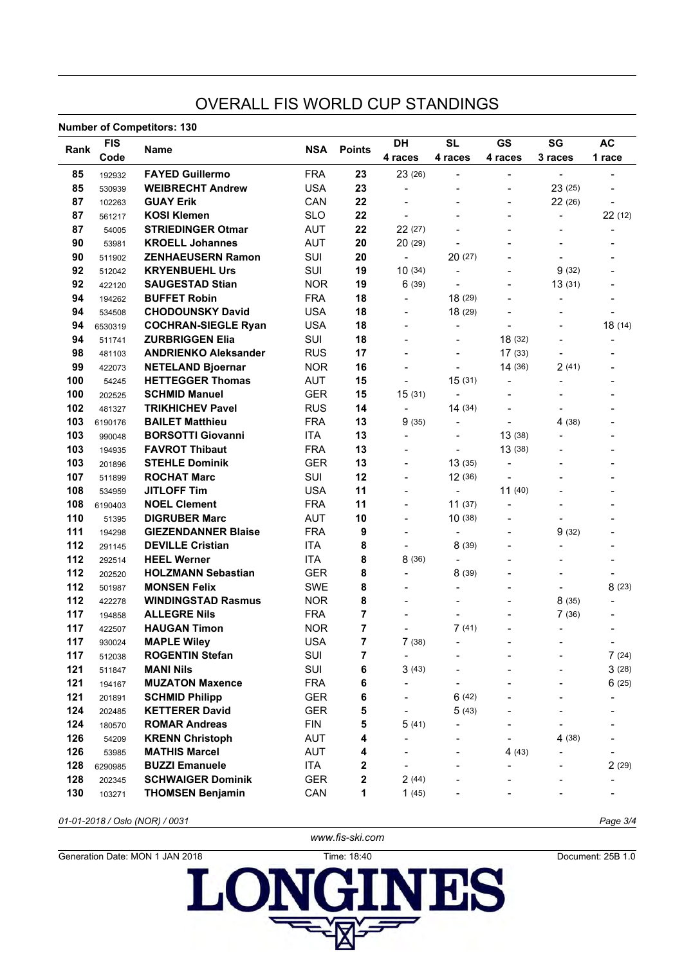### OVERALL FIS WORLD CUP STANDINGS

#### **Number of Competitors: 130**

|      | namper or competitors, red<br><b>FIS</b><br>Name |                             |            |               | DH                           | <b>SL</b>                    | <b>GS</b>                | SG                           | <b>AC</b>                    |  |
|------|--------------------------------------------------|-----------------------------|------------|---------------|------------------------------|------------------------------|--------------------------|------------------------------|------------------------------|--|
| Rank | Code                                             |                             | <b>NSA</b> | <b>Points</b> | 4 races                      | 4 races                      | 4 races                  | 3 races                      | 1 race                       |  |
| 85   | 192932                                           | <b>FAYED Guillermo</b>      | <b>FRA</b> | 23            | 23 (26)                      | $\blacksquare$               | $\blacksquare$           | $\blacksquare$               |                              |  |
| 85   | 530939                                           | <b>WEIBRECHT Andrew</b>     | <b>USA</b> | 23            | $\overline{a}$               |                              |                          | 23 (25)                      |                              |  |
| 87   | 102263                                           | <b>GUAY Erik</b>            | CAN        | 22            | $\overline{\phantom{a}}$     | $\overline{\phantom{0}}$     | $\overline{\phantom{0}}$ | 22(26)                       | $\overline{\phantom{a}}$     |  |
| 87   | 561217                                           | <b>KOSI Klemen</b>          | <b>SLO</b> | 22            | $\overline{\phantom{a}}$     |                              | $\overline{\phantom{0}}$ | $\overline{\phantom{0}}$     | 22(12)                       |  |
| 87   | 54005                                            | <b>STRIEDINGER Otmar</b>    | <b>AUT</b> | 22            | 22 (27)                      |                              | $\overline{a}$           | $\overline{a}$               | $\overline{\phantom{a}}$     |  |
| 90   | 53981                                            | <b>KROELL Johannes</b>      | <b>AUT</b> | 20            | 20(29)                       | $\overline{a}$               |                          | $\qquad \qquad \blacksquare$ |                              |  |
| 90   | 511902                                           | <b>ZENHAEUSERN Ramon</b>    | SUI        | 20            | $\blacksquare$               | 20(27)                       |                          | $\overline{\phantom{0}}$     |                              |  |
| 92   | 512042                                           | <b>KRYENBUEHL Urs</b>       | SUI        | 19            | 10(34)                       | $\overline{a}$               | $\overline{\phantom{0}}$ | 9(32)                        |                              |  |
| 92   | 422120                                           | <b>SAUGESTAD Stian</b>      | <b>NOR</b> | 19            | 6(39)                        | $\overline{\phantom{a}}$     |                          | 13(31)                       |                              |  |
| 94   | 194262                                           | <b>BUFFET Robin</b>         | <b>FRA</b> | 18            | $\qquad \qquad \blacksquare$ | 18 (29)                      |                          | $\overline{\phantom{0}}$     |                              |  |
| 94   | 534508                                           | <b>CHODOUNSKY David</b>     | <b>USA</b> | 18            | $\overline{\phantom{0}}$     | 18(29)                       |                          | -                            |                              |  |
| 94   | 6530319                                          | <b>COCHRAN-SIEGLE Ryan</b>  | <b>USA</b> | 18            | $\overline{\phantom{0}}$     | $\overline{\phantom{a}}$     | $\overline{a}$           | $\overline{\phantom{0}}$     | 18 (14)                      |  |
| 94   | 511741                                           | <b>ZURBRIGGEN Elia</b>      | SUI        | 18            | $\overline{\phantom{0}}$     | $\blacksquare$               | 18 (32)                  | $\overline{\phantom{0}}$     | $\blacksquare$               |  |
| 98   | 481103                                           | <b>ANDRIENKO Aleksander</b> | <b>RUS</b> | 17            |                              | $\blacksquare$               | 17(33)                   | $\overline{\phantom{0}}$     |                              |  |
| 99   | 422073                                           | <b>NETELAND Bjoernar</b>    | <b>NOR</b> | 16            | $\overline{a}$               |                              | 14(36)                   | 2(41)                        |                              |  |
| 100  | 54245                                            | <b>HETTEGGER Thomas</b>     | <b>AUT</b> | 15            | $\qquad \qquad \blacksquare$ | 15(31)                       |                          |                              |                              |  |
| 100  | 202525                                           | <b>SCHMID Manuel</b>        | <b>GER</b> | 15            | 15 (31)                      | $\qquad \qquad \blacksquare$ |                          |                              |                              |  |
| 102  | 481327                                           | <b>TRIKHICHEV Pavel</b>     | <b>RUS</b> | 14            | $\blacksquare$               | 14(34)                       |                          | $\overline{\phantom{0}}$     |                              |  |
| 103  | 6190176                                          | <b>BAILET Matthieu</b>      | <b>FRA</b> | 13            | 9(35)                        | $\qquad \qquad \blacksquare$ |                          | 4 (38)                       |                              |  |
| 103  | 990048                                           | <b>BORSOTTI Giovanni</b>    | <b>ITA</b> | 13            | $\overline{a}$               |                              | 13(38)                   |                              |                              |  |
| 103  | 194935                                           | <b>FAVROT Thibaut</b>       | <b>FRA</b> | 13            | $\overline{a}$               | $\blacksquare$               | 13(38)                   |                              |                              |  |
| 103  | 201896                                           | <b>STEHLE Dominik</b>       | <b>GER</b> | 13            | $\overline{\phantom{0}}$     | 13(35)                       |                          |                              |                              |  |
| 107  | 511899                                           | <b>ROCHAT Marc</b>          | SUI        | 12            | $\overline{\phantom{0}}$     | 12 (36)                      |                          |                              |                              |  |
| 108  | 534959                                           | <b>JITLOFF Tim</b>          | <b>USA</b> | 11            | $\overline{\phantom{0}}$     | $\overline{\phantom{a}}$     | 11(40)                   |                              |                              |  |
| 108  | 6190403                                          | <b>NOEL Clement</b>         | <b>FRA</b> | 11            | $\overline{\phantom{0}}$     | 11(37)                       |                          |                              |                              |  |
| 110  | 51395                                            | <b>DIGRUBER Marc</b>        | <b>AUT</b> | 10            |                              | 10(38)                       |                          |                              |                              |  |
| 111  | 194298                                           | <b>GIEZENDANNER Blaise</b>  | <b>FRA</b> | 9             | $\overline{a}$               | $\qquad \qquad \blacksquare$ |                          | 9(32)                        |                              |  |
| 112  | 291145                                           | <b>DEVILLE Cristian</b>     | <b>ITA</b> | 8             | $\overline{\phantom{0}}$     | 8(39)                        |                          |                              |                              |  |
| 112  | 292514                                           | <b>HEEL Werner</b>          | <b>ITA</b> | 8             | 8 (36)                       | $\qquad \qquad \blacksquare$ |                          |                              |                              |  |
| 112  | 202520                                           | <b>HOLZMANN Sebastian</b>   | <b>GER</b> | 8             |                              | 8(39)                        |                          |                              |                              |  |
| 112  | 501987                                           | <b>MONSEN Felix</b>         | <b>SWE</b> | 8             |                              |                              |                          |                              | 8(23)                        |  |
| 112  | 422278                                           | <b>WINDINGSTAD Rasmus</b>   | <b>NOR</b> | 8             |                              |                              |                          | 8(35)                        |                              |  |
| 117  | 194858                                           | <b>ALLEGRE Nils</b>         | <b>FRA</b> | 7             |                              |                              |                          | 7(36)                        |                              |  |
| 117  | 422507                                           | <b>HAUGAN Timon</b>         | <b>NOR</b> | 7             |                              | 7(41)                        |                          |                              | $\qquad \qquad \blacksquare$ |  |
| 117  | 930024                                           | <b>MAPLE Wiley</b>          | <b>USA</b> | 7             | 7(38)                        |                              |                          |                              |                              |  |
| 117  | 512038                                           | <b>ROGENTIN Stefan</b>      | SUI        | 7             | -                            |                              |                          |                              | 7(24)                        |  |
| 121  | 511847                                           | <b>MANI Nils</b>            | SUI        | 6             | 3(43)                        |                              |                          |                              | 3(28)                        |  |
| 121  | 194167                                           | <b>MUZATON Maxence</b>      | <b>FRA</b> | 6             |                              |                              |                          |                              | 6(25)                        |  |
| 121  | 201891                                           | <b>SCHMID Philipp</b>       | <b>GER</b> | 6             |                              | 6(42)                        |                          |                              |                              |  |
| 124  | 202485                                           | <b>KETTERER David</b>       | <b>GER</b> | 5             |                              | 5(43)                        |                          |                              |                              |  |
| 124  | 180570                                           | <b>ROMAR Andreas</b>        | <b>FIN</b> | 5             | 5(41)                        |                              |                          |                              |                              |  |
| 126  | 54209                                            | <b>KRENN Christoph</b>      | AUT        | 4             |                              |                              |                          | 4 (38)                       |                              |  |
| 126  | 53985                                            | <b>MATHIS Marcel</b>        | <b>AUT</b> | 4             |                              | $\qquad \qquad \blacksquare$ | 4(43)                    |                              |                              |  |
| 128  | 6290985                                          | <b>BUZZI Emanuele</b>       | ITA        | 2             |                              |                              |                          |                              | 2(29)                        |  |
| 128  | 202345                                           | <b>SCHWAIGER Dominik</b>    | <b>GER</b> | 2             | 2(44)                        |                              |                          |                              |                              |  |
| 130  | 103271                                           | <b>THOMSEN Benjamin</b>     | CAN        | 1             | 1(45)                        |                              |                          |                              |                              |  |

*01-01-2018 / Oslo (NOR) / 0031 Page 3/4*

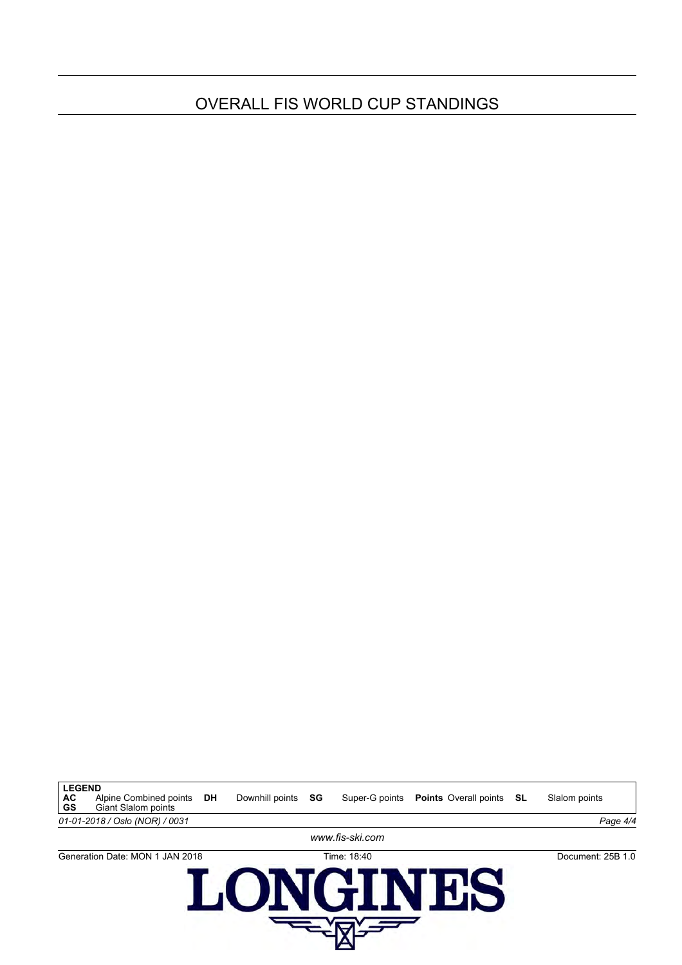## OVERALL FIS WORLD CUP STANDINGS

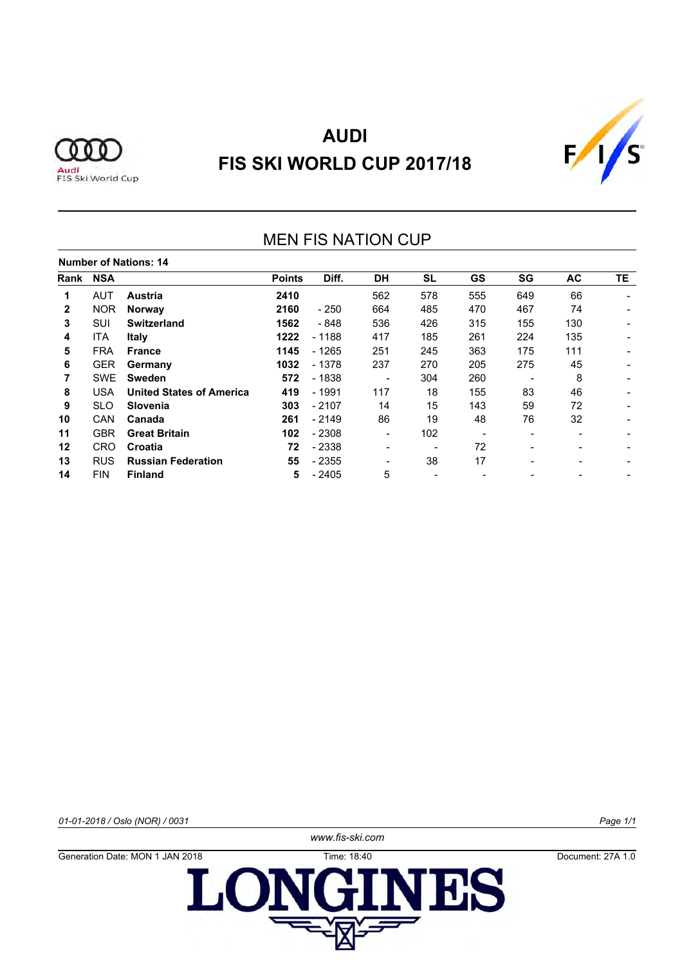



## MEN FIS NATION CUP

|      | <b>Number of Nations: 14</b> |                                 |               |         |                          |     |     |                          |                          |           |  |  |  |  |  |
|------|------------------------------|---------------------------------|---------------|---------|--------------------------|-----|-----|--------------------------|--------------------------|-----------|--|--|--|--|--|
| Rank | <b>NSA</b>                   |                                 | <b>Points</b> | Diff.   | <b>DH</b>                | SL  | GS  | SG                       | AC                       | <b>TE</b> |  |  |  |  |  |
| 1    | <b>AUT</b>                   | <b>Austria</b>                  | 2410          |         | 562                      | 578 | 555 | 649                      | 66                       |           |  |  |  |  |  |
| 2    | <b>NOR</b>                   | <b>Norway</b>                   | 2160          | $-250$  | 664                      | 485 | 470 | 467                      | 74                       |           |  |  |  |  |  |
| 3    | SUI                          | <b>Switzerland</b>              | 1562          | - 848   | 536                      | 426 | 315 | 155                      | 130                      |           |  |  |  |  |  |
| 4    | ITA                          | Italy                           | 1222          | - 1188  | 417                      | 185 | 261 | 224                      | 135                      |           |  |  |  |  |  |
| 5    | <b>FRA</b>                   | <b>France</b>                   | 1145          | $-1265$ | 251                      | 245 | 363 | 175                      | 111                      |           |  |  |  |  |  |
| 6    | <b>GER</b>                   | Germany                         | 1032          | - 1378  | 237                      | 270 | 205 | 275                      | 45                       |           |  |  |  |  |  |
|      | <b>SWE</b>                   | <b>Sweden</b>                   | 572           | - 1838  | $\overline{\phantom{a}}$ | 304 | 260 |                          | 8                        |           |  |  |  |  |  |
| 8    | <b>USA</b>                   | <b>United States of America</b> | 419           | $-1991$ | 117                      | 18  | 155 | 83                       | 46                       |           |  |  |  |  |  |
| 9    | <b>SLO</b>                   | <b>Slovenia</b>                 | 303           | - 2107  | 14                       | 15  | 143 | 59                       | 72                       |           |  |  |  |  |  |
| 10   | <b>CAN</b>                   | Canada                          | 261           | $-2149$ | 86                       | 19  | 48  | 76                       | 32                       |           |  |  |  |  |  |
| 11   | <b>GBR</b>                   | <b>Great Britain</b>            | 102           | - 2308  | $\blacksquare$           | 102 |     | $\overline{\phantom{0}}$ | $\overline{\phantom{a}}$ |           |  |  |  |  |  |
| 12   | CRO                          | Croatia                         | 72            | - 2338  | $\overline{\phantom{a}}$ |     | 72  | $\overline{\phantom{0}}$ | -                        |           |  |  |  |  |  |
| 13   | <b>RUS</b>                   | <b>Russian Federation</b>       | 55            | - 2355  |                          | 38  | 17  | $\overline{\phantom{0}}$ | $\overline{\phantom{0}}$ |           |  |  |  |  |  |
| 14   | <b>FIN</b>                   | <b>Finland</b>                  | 5             | $-2405$ | 5                        |     |     |                          |                          |           |  |  |  |  |  |

*01-01-2018 / Oslo (NOR) / 0031 Page 1/1*

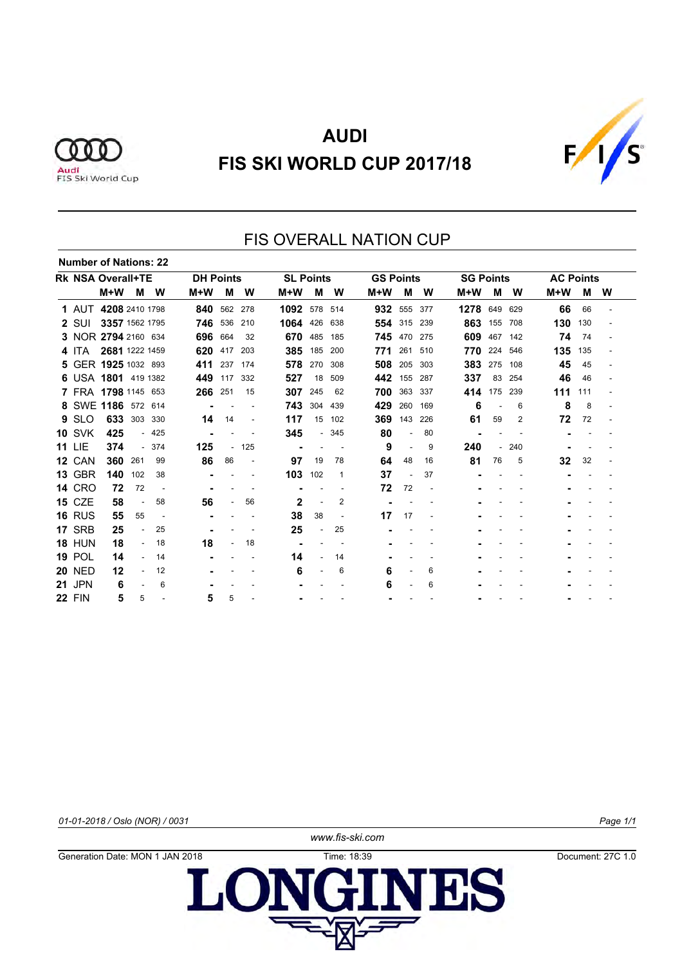



#### FIS OVERALL NATION CUP **Number of Nations: 22 Rk NSA Overall+TE DH Points SL Points GS Points SG Points AC Points M+W M W M+W M W M+W M W M+W M W M+W M W M+W M W** AUT **4208** 2410 1798 **840** 562 278 **1092** 578 514 **932** 555 377 **1278** 649 629 **66** 66 - SUI **3357** 1562 1795 **746** 536 210 **1064** 426 638 **554** 315 239 **863** 155 708 **130** 130 - NOR **2794** 2160 634 **696** 664 32 **670** 485 185 **745** 470 275 **609** 467 142 **74** 74 - ITA **2681** 1222 1459 **620** 417 203 **385** 185 200 **771** 261 510 **770** 224 546 **135** 135 - GER **1925** 1032 893 **411** 237 174 **578** 270 308 **508** 205 303 **383** 275 108 **45** 45 - USA **1801** 419 1382 **449** 117 332 **527** 18 509 **442** 155 287 **337** 83 254 **46** 46 - FRA **1798** 1145 653 **266** 251 15 **307** 245 62 **700** 363 337 **414** 175 239 **111** 111 - SWE **1186** 572 614 **-** - - **743** 304 439 **429** 260 169 **6** - 6 **8** 8 - SLO **633** 303 330 **14** 14 - **117** 15 102 **369** 143 226 **61** 59 2 **72** 72 - SVK **425** - 425 **-** - - **345** - 345 **80** - 80 **-** - - **-** - - LIE **374** - 374 **125** - 125 **-** - - **9** - 9 **240** - 240 **-** - - CAN **360** 261 99 **86** 86 - **97** 19 78 **64** 48 16 **81** 76 5 **32** 32 - GBR **140** 102 38 **-** - - **103** 102 1 **37** - 37 **-** - - **-** - - CRO **72** 72 - **-** - - **-** - - **72** 72 - **-** - - **-** - - CZE **58** - 58 **56** - 56 **2** - 2 **-** - - **-** - - **-** - - RUS **55** 55 - **-** - - **38** 38 - **17** 17 - **-** - - **-** - - SRB **25** - 25 **-** - - **25** - 25 **-** - - **-** - - **-** - - HUN **18** - 18 **18** - 18 **-** - - **-** - - **-** - - **-** - - POL **14** - 14 **-** - - **14** - 14 **-** - - **-** - - **-** - - NED **12** - 12 **-** - - **6** - 6 **6** - 6 **-** - - **-** - - JPN **6** - 6 **-** - - **-** - - **6** - 6 **-** - - **-** - - FIN **5** 5 - **5** 5 - **-** - - **-** - - **-** - - **-** - -

*01-01-2018 / Oslo (NOR) / 0031 Page 1/1*

*www.fis-ski.com*

Generation Date: MON 1 JAN 2018 Time: 18:39 Document: 27C 1.0LON **TIBS**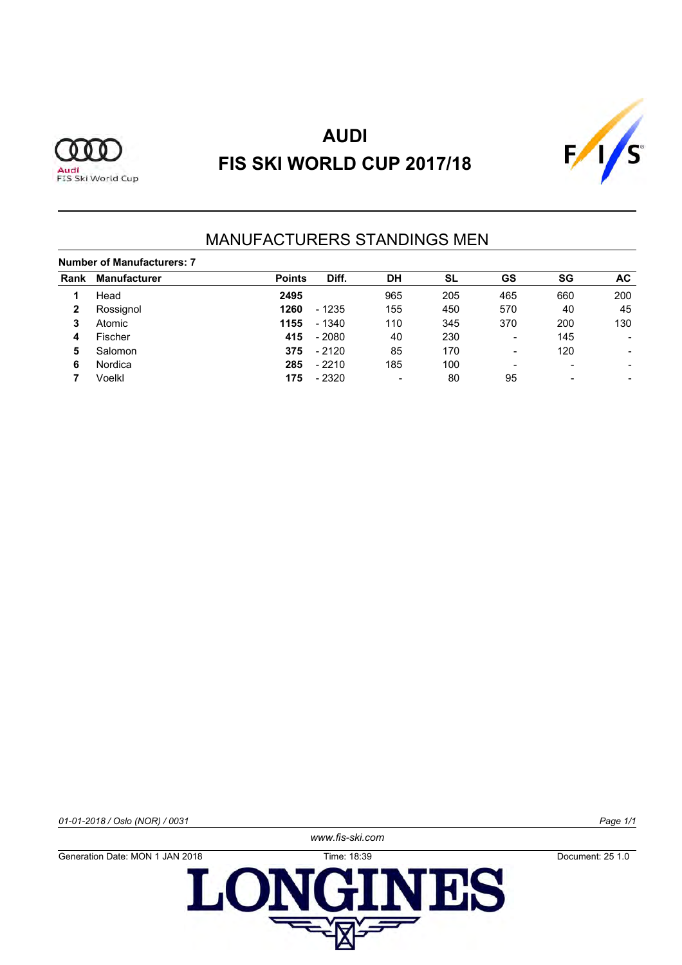



### MANUFACTURERS STANDINGS MEN

#### **Number of Manufacturers: 7**

| Rank | <b>Manufacturer</b> | <b>Points</b> | Diff.   | <b>DH</b>      | <b>SL</b> | GS                       | SG                       | AC.                      |
|------|---------------------|---------------|---------|----------------|-----------|--------------------------|--------------------------|--------------------------|
|      | Head                | 2495          |         | 965            | 205       | 465                      | 660                      | 200                      |
|      | Rossignol           | 1260          | $-1235$ | 155            | 450       | 570                      | 40                       | 45                       |
| 3    | Atomic              | 1155          | $-1340$ | 110            | 345       | 370                      | 200                      | 130                      |
| 4    | Fischer             | 415           | $-2080$ | 40             | 230       | $\overline{\phantom{0}}$ | 145                      |                          |
| 5    | Salomon             | 375           | $-2120$ | 85             | 170       | $\overline{\phantom{0}}$ | 120                      | -                        |
| 6    | Nordica             | 285           | $-2210$ | 185            | 100       | -                        | $\overline{\phantom{a}}$ | $\overline{\phantom{0}}$ |
|      | Voelkl              | 175           | $-2320$ | $\blacksquare$ | 80        | 95                       | $\qquad \qquad$          |                          |

*01-01-2018 / Oslo (NOR) / 0031 Page 1/1*